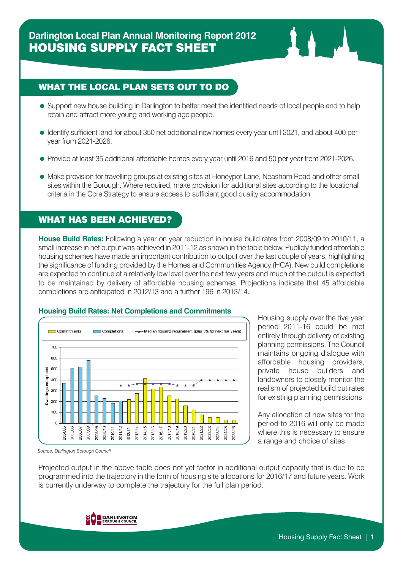## WHAT THE LOCAL PLAN SETS OUT TO DO

- Support new house building in Darlington to better meet the identified needs of local people and to help retain and attract more young and working age people.
- Identify sufficient land for about 350 net additional new homes every year until 2021, and about 400 per year from 2021-2026.
- Provide at least 35 additional affordable homes every year until 2016 and 50 per year from 2021-2026.
- Make provision for travelling groups at existing sites at Honeypot Lane, Neasham Road and other small sites within the Borough. Where required, make provision for additional sites according to the locational criteria in the Core Strategy to ensure access to sufficient good quality accommodation.

### WHAT HAS BEEN ACHIEVED?

**House Build Rates:** Following a year on year reduction in house build rates from 2008/09 to 2010/11, a small increase in net output was achieved in 2011-12 as shown in the table below. Publicly funded affordable housing schemes have made an important contribution to output over the last couple of years, highlighting the significance of funding provided by the Homes and Communities Agency (HCA). New build completions are expected to continue at a relatively low level over the next few years and much of the output is expected to be maintained by delivery of affordable housing schemes. Projections indicate that 45 affordable completions are anticipated in 2012/13 and a further 196 in 2013/14.





Housing supply over the five year period 2011-16 could be met entirely through delivery of existing planning permissions. The Council maintains ongoing dialogue with affordable housing providers, private house builders and landowners to closely monitor the realism of projected build out rates for existing planning permissions.

Any allocation of new sites for the period to 2016 will only be made where this is necessary to ensure a range and choice of sites.

*Source: Darlington Borough Council.*

Projected output in the above table does not yet factor in additional output capacity that is due to be programmed into the trajectory in the form of housing site allocations for 2016/17 and future years. Work is currently underway to complete the trajectory for the full plan period.

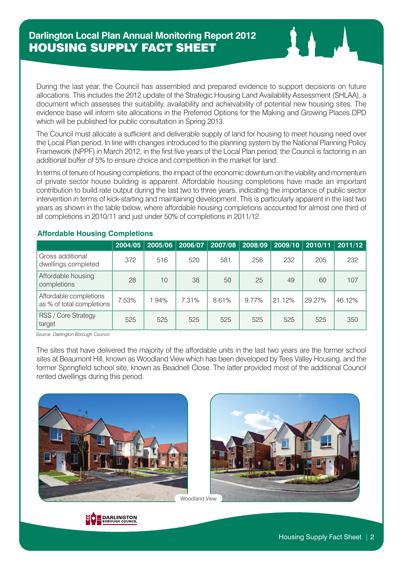During the last year, the Council has assembled and prepared evidence to support decisions on future allocations. This includes the 2012 update of the Strategic Housing Land Availability Assessment (SHLAA), a document which assesses the suitability, availability and achievability of potential new housing sites. The evidence base will inform site allocations in the Preferred Options for the Making and Growing Places DPD which will be published for public consultation in Spring 2013.

The Council must allocate a sufficient and deliverable supply of land for housing to meet housing need over the Local Plan period. In line with changes introduced to the planning system by the National Planning Policy Framework (NPPF) in March 2012, in the first five years of the Local Plan period, the Council is factoring in an additional buffer of 5% to ensure choice and competition in the market for land.

In terms of tenure of housing completions, the impact of the economic downturn on the viability and momentum of private sector house building is apparent. Affordable housing completions have made an important contribution to build rate output during the last two to three years, indicating the importance of public sector intervention in terms of kick-starting and maintaining development. This is particularly apparent in the last two years as shown in the table below, where affordable housing completions accounted for almost one third of all completions in 2010/11 and just under 50% of completions in 2011/12.

|                                                     | 2004/05 | 2005/06 | 2006/07 | 2007/08 | 2008/09 | 2009/10 | 2010/11 | 2011/12 |
|-----------------------------------------------------|---------|---------|---------|---------|---------|---------|---------|---------|
| Gross additional<br>dwellings completed             | 372     | 516     | 520     | 581     | 256     | 232     | 205     | 232     |
| Affordable housing<br>completions                   | 28      | 10      | 38      | 50      | 25      | 49      | 60      | 107     |
| Affordable completions<br>as % of total completions | 7.53%   | 1.94%   | 7.31%   | 8.61%   | 9.77%   | 21.12%  | 29.27%  | 46.12%  |
| RSS / Core Strategy<br>target                       | 525     | 525     | 525     | 525     | 525     | 525     | 525     | 350     |

#### **Affordable Housing Completions**

*Source: Darlington Borough Council.*

The sites that have delivered the majority of the affordable units in the last two years are the former school sites at Beaumont Hill, known as Woodland View which has been developed by Tees Valley Housing, and the former Springfield school site, known as Beadnell Close. The latter provided most of the additional Council rented dwellings during this period.



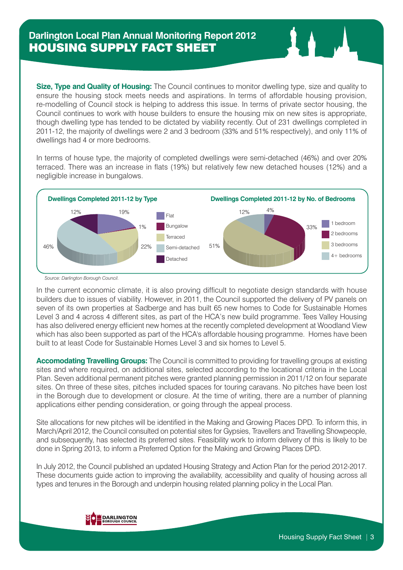**Size, Type and Quality of Housing:** The Council continues to monitor dwelling type, size and quality to ensure the housing stock meets needs and aspirations. In terms of affordable housing provision, re-modelling of Council stock is helping to address this issue. In terms of private sector housing, the Council continues to work with house builders to ensure the housing mix on new sites is appropriate, though dwelling type has tended to be dictated by viability recently. Out of 231 dwellings completed in 2011-12, the majority of dwellings were 2 and 3 bedroom (33% and 51% respectively), and only 11% of dwellings had 4 or more bedrooms.

In terms of house type, the majority of completed dwellings were semi-detached (46%) and over 20% terraced. There was an increase in flats (19%) but relatively few new detached houses (12%) and a negligible increase in bungalows.



*Source: Darlington Borough Council.*

In the current economic climate, it is also proving difficult to negotiate design standards with house builders due to issues of viability. However, in 2011, the Council supported the delivery of PV panels on seven of its own properties at Sadberge and has built 65 new homes to Code for Sustainable Homes Level 3 and 4 across 4 different sites, as part of the HCA's new build programme. Tees Valley Housing has also delivered energy efficient new homes at the recently completed development at Woodland View which has also been supported as part of the HCA's affordable housing programme. Homes have been built to at least Code for Sustainable Homes Level 3 and six homes to Level 5.

**Accomodating Travelling Groups:** The Council is committed to providing for travelling groups at existing sites and where required, on additional sites, selected according to the locational criteria in the Local Plan. Seven additional permanent pitches were granted planning permission in 2011/12 on four separate sites. On three of these sites, pitches included spaces for touring caravans. No pitches have been lost in the Borough due to development or closure. At the time of writing, there are a number of planning applications either pending consideration, or going through the appeal process.

Site allocations for new pitches will be identified in the Making and Growing Places DPD. To inform this, in March/April 2012, the Council consulted on potential sites for Gypsies, Travellers and Travelling Showpeople, and subsequently, has selected its preferred sites. Feasibility work to inform delivery of this is likely to be done in Spring 2013, to inform a Preferred Option for the Making and Growing Places DPD.

In July 2012, the Council published an updated Housing Strategy and Action Plan for the period 2012-2017. These documents guide action to improving the availability, accessibility and quality of housing across all types and tenures in the Borough and underpin housing related planning policy in the Local Plan.